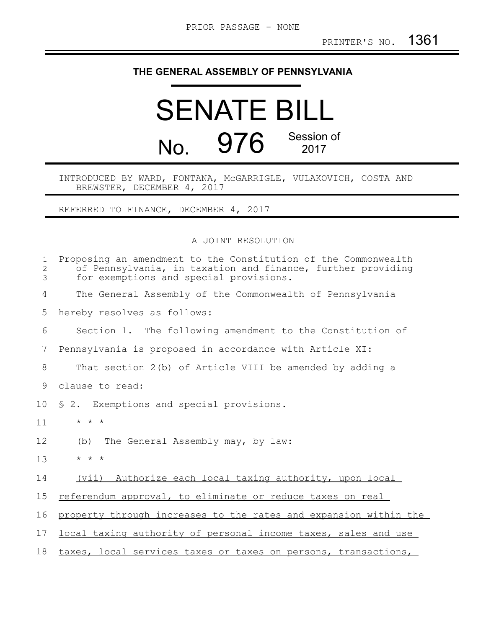## **THE GENERAL ASSEMBLY OF PENNSYLVANIA**

## SENATE BILL No. 976 Session of

## INTRODUCED BY WARD, FONTANA, McGARRIGLE, VULAKOVICH, COSTA AND BREWSTER, DECEMBER 4, 2017

REFERRED TO FINANCE, DECEMBER 4, 2017

A JOINT RESOLUTION

| $\mathbf 1$<br>2<br>3 | Proposing an amendment to the Constitution of the Commonwealth<br>of Pennsylvania, in taxation and finance, further providing<br>for exemptions and special provisions. |
|-----------------------|-------------------------------------------------------------------------------------------------------------------------------------------------------------------------|
| 4                     | The General Assembly of the Commonwealth of Pennsylvania                                                                                                                |
| 5                     | hereby resolves as follows:                                                                                                                                             |
| 6                     | Section 1. The following amendment to the Constitution of                                                                                                               |
| 7                     | Pennsylvania is proposed in accordance with Article XI:                                                                                                                 |
| 8                     | That section 2(b) of Article VIII be amended by adding a                                                                                                                |
| 9                     | clause to read:                                                                                                                                                         |
| 10                    | \$ 2. Exemptions and special provisions.                                                                                                                                |
| 11                    | $\star$ $\star$ $\star$                                                                                                                                                 |
| 12                    | The General Assembly may, by law:<br>(b)                                                                                                                                |
| 13                    | $\star$ $\star$ $\star$                                                                                                                                                 |
| 14                    | (vii) Authorize each local taxing authority, upon local                                                                                                                 |
| 15                    | referendum approval, to eliminate or reduce taxes on real                                                                                                               |
| 16                    | property through increases to the rates and expansion within the                                                                                                        |
| 17                    | local taxing authority of personal income taxes, sales and use                                                                                                          |
| 18                    | taxes, local services taxes or taxes on persons, transactions,                                                                                                          |